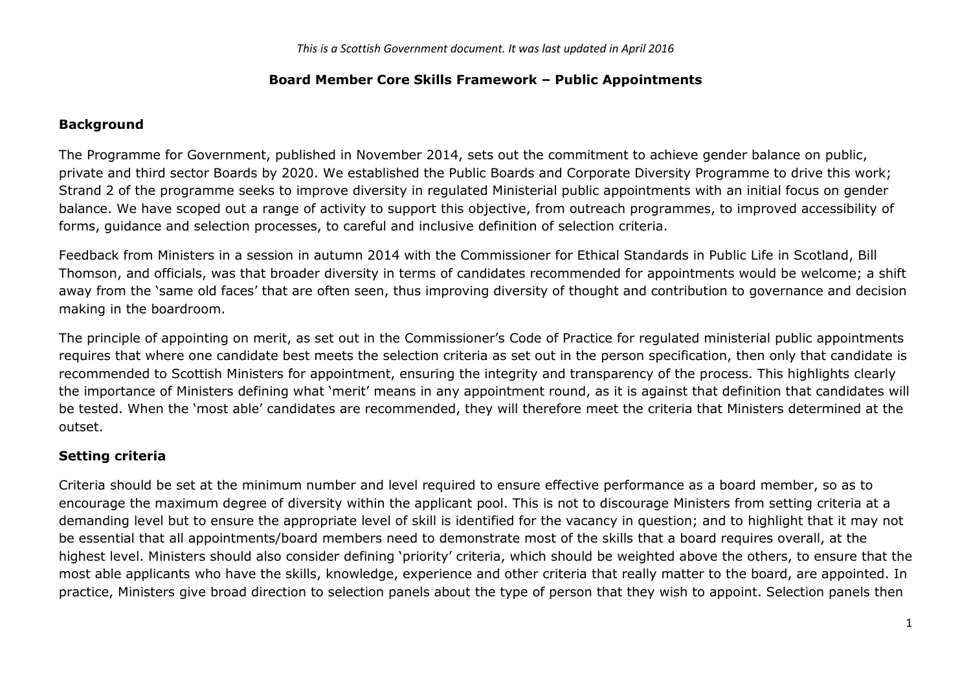#### **Board Member Core Skills Framework – Public Appointments**

## **Background**

The Programme for Government, published in November 2014, sets out the commitment to achieve gender balance on public, private and third sector Boards by 2020. We established the Public Boards and Corporate Diversity Programme to drive this work; Strand 2 of the programme seeks to improve diversity in regulated Ministerial public appointments with an initial focus on gender balance. We have scoped out a range of activity to support this objective, from outreach programmes, to improved accessibility of forms, guidance and selection processes, to careful and inclusive definition of selection criteria.

Feedback from Ministers in a session in autumn 2014 with the Commissioner for Ethical Standards in Public Life in Scotland, Bill Thomson, and officials, was that broader diversity in terms of candidates recommended for appointments would be welcome; a shift away from the 'same old faces' that are often seen, thus improving diversity of thought and contribution to governance and decision making in the boardroom.

The principle of appointing on merit, as set out in the Commissioner's Code of Practice for regulated ministerial public appointments requires that where one candidate best meets the selection criteria as set out in the person specification, then only that candidate is recommended to Scottish Ministers for appointment, ensuring the integrity and transparency of the process. This highlights clearly the importance of Ministers defining what 'merit' means in any appointment round, as it is against that definition that candidates will be tested. When the 'most able' candidates are recommended, they will therefore meet the criteria that Ministers determined at the outset.

# **Setting criteria**

Criteria should be set at the minimum number and level required to ensure effective performance as a board member, so as to encourage the maximum degree of diversity within the applicant pool. This is not to discourage Ministers from setting criteria at a demanding level but to ensure the appropriate level of skill is identified for the vacancy in question; and to highlight that it may not be essential that all appointments/board members need to demonstrate most of the skills that a board requires overall, at the highest level. Ministers should also consider defining 'priority' criteria, which should be weighted above the others, to ensure that the most able applicants who have the skills, knowledge, experience and other criteria that really matter to the board, are appointed. In practice, Ministers give broad direction to selection panels about the type of person that they wish to appoint. Selection panels then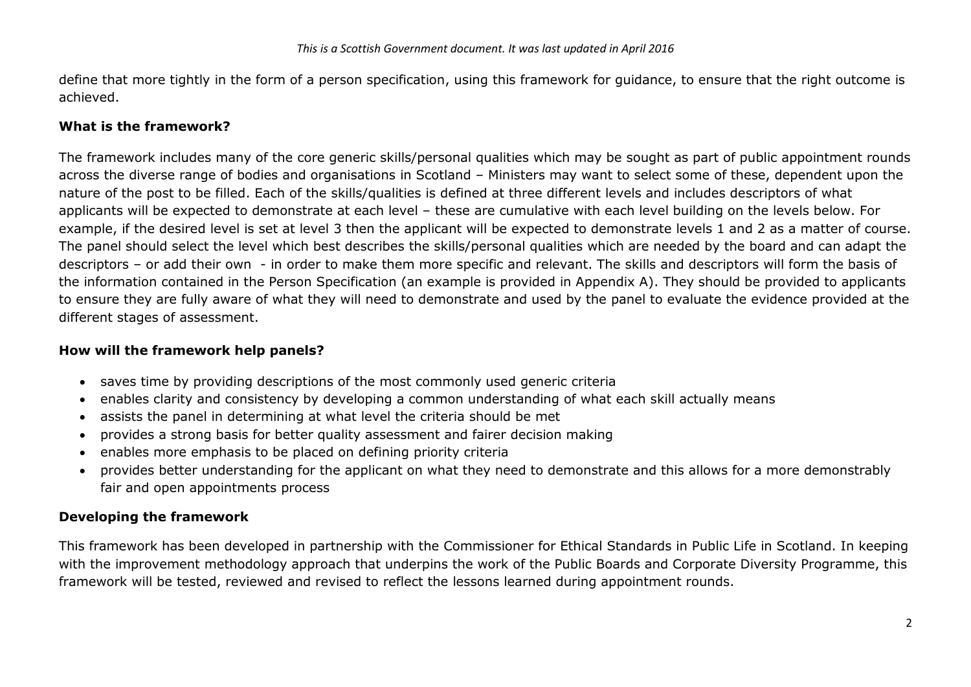define that more tightly in the form of a person specification, using this framework for guidance, to ensure that the right outcome is achieved.

#### **What is the framework?**

The framework includes many of the core generic skills/personal qualities which may be sought as part of public appointment rounds across the diverse range of bodies and organisations in Scotland – Ministers may want to select some of these, dependent upon the nature of the post to be filled. Each of the skills/qualities is defined at three different levels and includes descriptors of what applicants will be expected to demonstrate at each level – these are cumulative with each level building on the levels below. For example, if the desired level is set at level 3 then the applicant will be expected to demonstrate levels 1 and 2 as a matter of course. The panel should select the level which best describes the skills/personal qualities which are needed by the board and can adapt the descriptors – or add their own - in order to make them more specific and relevant. The skills and descriptors will form the basis of the information contained in the Person Specification (an example is provided in Appendix A). They should be provided to applicants to ensure they are fully aware of what they will need to demonstrate and used by the panel to evaluate the evidence provided at the different stages of assessment.

#### **How will the framework help panels?**

- saves time by providing descriptions of the most commonly used generic criteria
- enables clarity and consistency by developing a common understanding of what each skill actually means
- assists the panel in determining at what level the criteria should be met
- provides a strong basis for better quality assessment and fairer decision making
- enables more emphasis to be placed on defining priority criteria
- provides better understanding for the applicant on what they need to demonstrate and this allows for a more demonstrably fair and open appointments process

# **Developing the framework**

This framework has been developed in partnership with the Commissioner for Ethical Standards in Public Life in Scotland. In keeping with the improvement methodology approach that underpins the work of the Public Boards and Corporate Diversity Programme, this framework will be tested, reviewed and revised to reflect the lessons learned during appointment rounds.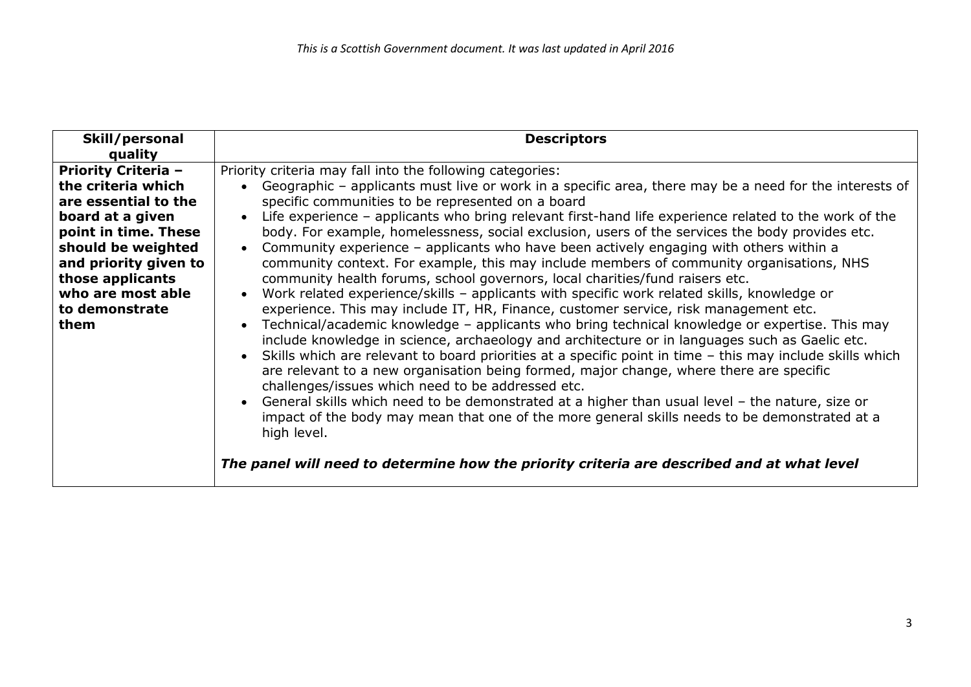| Skill/personal             | <b>Descriptors</b>                                                                                                 |  |
|----------------------------|--------------------------------------------------------------------------------------------------------------------|--|
| quality                    |                                                                                                                    |  |
| <b>Priority Criteria -</b> | Priority criteria may fall into the following categories:                                                          |  |
| the criteria which         | Geographic - applicants must live or work in a specific area, there may be a need for the interests of             |  |
| are essential to the       | specific communities to be represented on a board                                                                  |  |
| board at a given           | Life experience - applicants who bring relevant first-hand life experience related to the work of the<br>$\bullet$ |  |
| point in time. These       | body. For example, homelessness, social exclusion, users of the services the body provides etc.                    |  |
| should be weighted         | Community experience - applicants who have been actively engaging with others within a                             |  |
| and priority given to      | community context. For example, this may include members of community organisations, NHS                           |  |
| those applicants           | community health forums, school governors, local charities/fund raisers etc.                                       |  |
| who are most able          | Work related experience/skills - applicants with specific work related skills, knowledge or<br>$\bullet$           |  |
| to demonstrate             | experience. This may include IT, HR, Finance, customer service, risk management etc.                               |  |
| them                       | Technical/academic knowledge - applicants who bring technical knowledge or expertise. This may                     |  |
|                            | include knowledge in science, archaeology and architecture or in languages such as Gaelic etc.                     |  |
|                            | Skills which are relevant to board priorities at a specific point in time - this may include skills which          |  |
|                            | are relevant to a new organisation being formed, major change, where there are specific                            |  |
|                            | challenges/issues which need to be addressed etc.                                                                  |  |
|                            | General skills which need to be demonstrated at a higher than usual level - the nature, size or                    |  |
|                            | impact of the body may mean that one of the more general skills needs to be demonstrated at a                      |  |
|                            | high level.                                                                                                        |  |
|                            |                                                                                                                    |  |
|                            | The panel will need to determine how the priority criteria are described and at what level                         |  |
|                            |                                                                                                                    |  |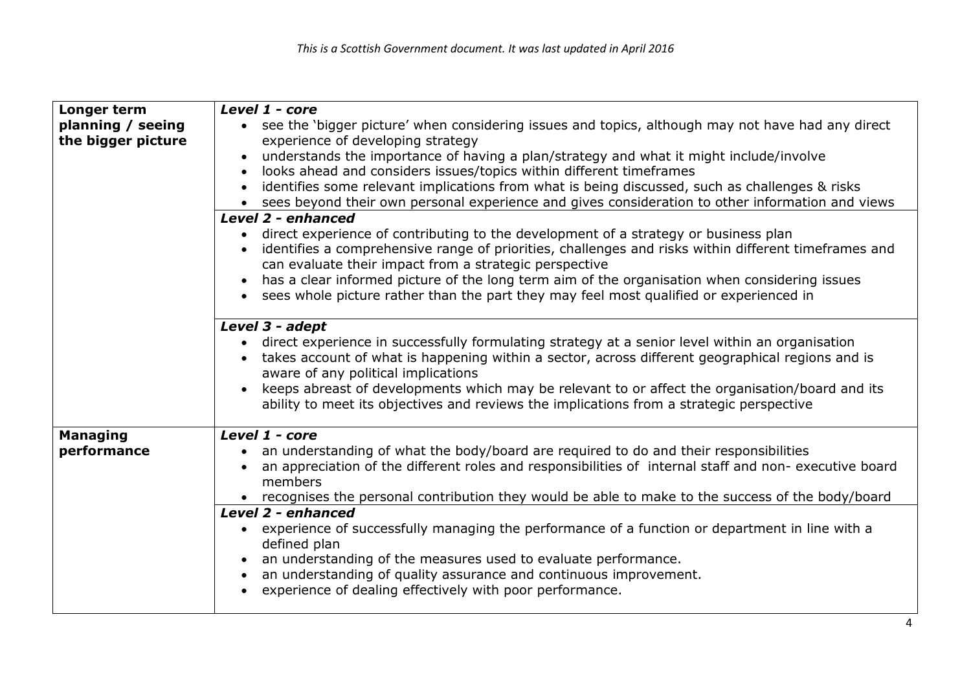| Longer term        | Level 1 - core                                                                                                 |  |  |  |
|--------------------|----------------------------------------------------------------------------------------------------------------|--|--|--|
| planning / seeing  | see the 'bigger picture' when considering issues and topics, although may not have had any direct<br>$\bullet$ |  |  |  |
| the bigger picture | experience of developing strategy                                                                              |  |  |  |
|                    | understands the importance of having a plan/strategy and what it might include/involve                         |  |  |  |
|                    | looks ahead and considers issues/topics within different timeframes<br>$\bullet$                               |  |  |  |
|                    | identifies some relevant implications from what is being discussed, such as challenges & risks                 |  |  |  |
|                    | sees beyond their own personal experience and gives consideration to other information and views               |  |  |  |
|                    | Level 2 - enhanced                                                                                             |  |  |  |
|                    | direct experience of contributing to the development of a strategy or business plan                            |  |  |  |
|                    | identifies a comprehensive range of priorities, challenges and risks within different timeframes and           |  |  |  |
|                    | can evaluate their impact from a strategic perspective                                                         |  |  |  |
|                    | has a clear informed picture of the long term aim of the organisation when considering issues<br>$\bullet$     |  |  |  |
|                    | sees whole picture rather than the part they may feel most qualified or experienced in                         |  |  |  |
|                    |                                                                                                                |  |  |  |
|                    | Level 3 - adept                                                                                                |  |  |  |
|                    | direct experience in successfully formulating strategy at a senior level within an organisation                |  |  |  |
|                    | takes account of what is happening within a sector, across different geographical regions and is               |  |  |  |
|                    | aware of any political implications                                                                            |  |  |  |
|                    | keeps abreast of developments which may be relevant to or affect the organisation/board and its                |  |  |  |
|                    | ability to meet its objectives and reviews the implications from a strategic perspective                       |  |  |  |
|                    |                                                                                                                |  |  |  |
| <b>Managing</b>    | Level 1 - core                                                                                                 |  |  |  |
| performance        | an understanding of what the body/board are required to do and their responsibilities                          |  |  |  |
|                    | an appreciation of the different roles and responsibilities of internal staff and non- executive board         |  |  |  |
|                    | members                                                                                                        |  |  |  |
|                    | • recognises the personal contribution they would be able to make to the success of the body/board             |  |  |  |
|                    | Level 2 - enhanced                                                                                             |  |  |  |
|                    | experience of successfully managing the performance of a function or department in line with a                 |  |  |  |
|                    | defined plan                                                                                                   |  |  |  |
|                    | an understanding of the measures used to evaluate performance.                                                 |  |  |  |
|                    | an understanding of quality assurance and continuous improvement.                                              |  |  |  |
|                    | experience of dealing effectively with poor performance.                                                       |  |  |  |
|                    |                                                                                                                |  |  |  |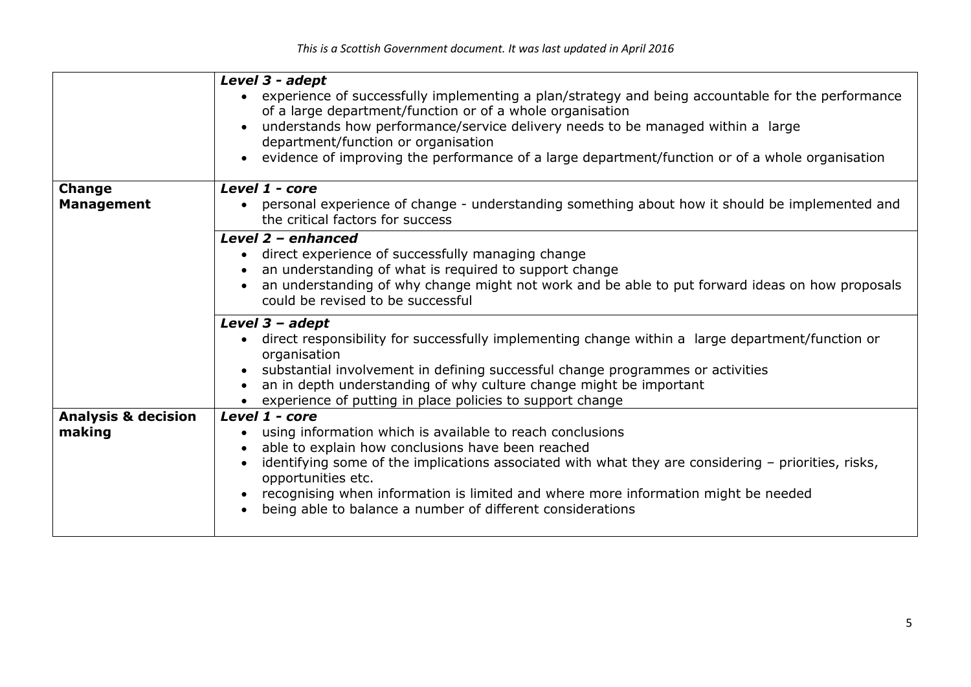|                                | Level 3 - adept<br>experience of successfully implementing a plan/strategy and being accountable for the performance<br>of a large department/function or of a whole organisation<br>understands how performance/service delivery needs to be managed within a large<br>department/function or organisation<br>evidence of improving the performance of a large department/function or of a whole organisation |
|--------------------------------|----------------------------------------------------------------------------------------------------------------------------------------------------------------------------------------------------------------------------------------------------------------------------------------------------------------------------------------------------------------------------------------------------------------|
| <b>Change</b>                  | Level 1 - core                                                                                                                                                                                                                                                                                                                                                                                                 |
| <b>Management</b>              | personal experience of change - understanding something about how it should be implemented and<br>$\bullet$<br>the critical factors for success                                                                                                                                                                                                                                                                |
|                                | Level 2 - enhanced<br>direct experience of successfully managing change<br>$\bullet$<br>an understanding of what is required to support change<br>an understanding of why change might not work and be able to put forward ideas on how proposals<br>could be revised to be successful                                                                                                                         |
|                                | Level $3 - ad$ ept<br>direct responsibility for successfully implementing change within a large department/function or<br>$\bullet$<br>organisation<br>substantial involvement in defining successful change programmes or activities<br>an in depth understanding of why culture change might be important<br>experience of putting in place policies to support change                                       |
| <b>Analysis &amp; decision</b> | Level 1 - core                                                                                                                                                                                                                                                                                                                                                                                                 |
| making                         | using information which is available to reach conclusions<br>able to explain how conclusions have been reached<br>identifying some of the implications associated with what they are considering - priorities, risks,<br>opportunities etc.<br>recognising when information is limited and where more information might be needed<br>being able to balance a number of different considerations                |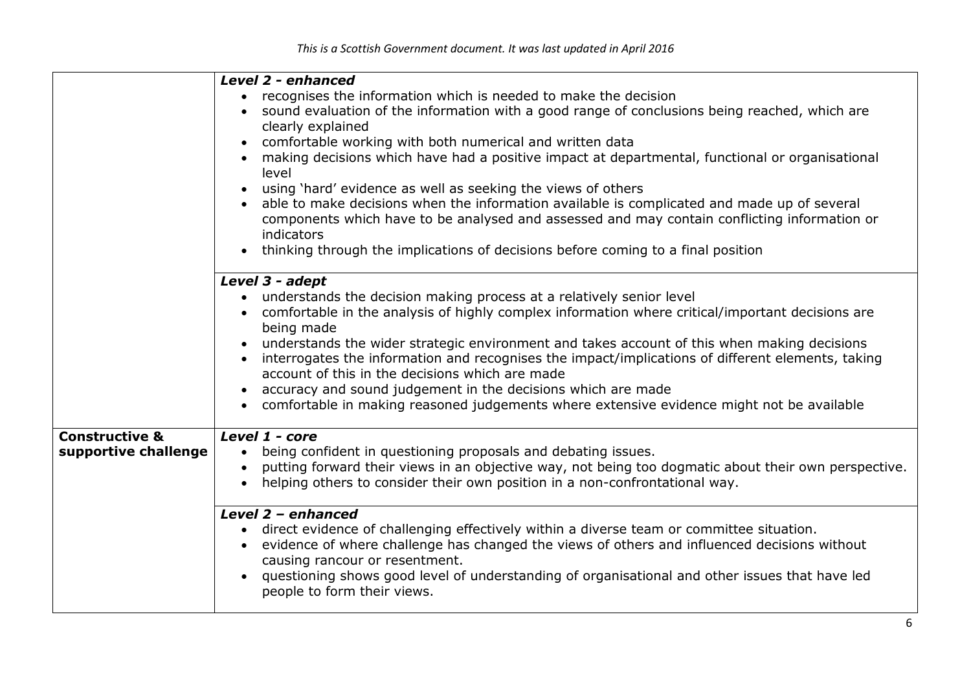|                           | Level 2 - enhanced                                                                                                |  |
|---------------------------|-------------------------------------------------------------------------------------------------------------------|--|
|                           | recognises the information which is needed to make the decision<br>$\bullet$                                      |  |
|                           | sound evaluation of the information with a good range of conclusions being reached, which are                     |  |
|                           | clearly explained                                                                                                 |  |
|                           | comfortable working with both numerical and written data                                                          |  |
|                           | making decisions which have had a positive impact at departmental, functional or organisational<br>$\bullet$      |  |
|                           | level                                                                                                             |  |
|                           | using 'hard' evidence as well as seeking the views of others<br>$\bullet$                                         |  |
|                           | able to make decisions when the information available is complicated and made up of several                       |  |
|                           | components which have to be analysed and assessed and may contain conflicting information or                      |  |
|                           | indicators                                                                                                        |  |
|                           | thinking through the implications of decisions before coming to a final position                                  |  |
|                           |                                                                                                                   |  |
|                           | Level 3 - adept                                                                                                   |  |
|                           | understands the decision making process at a relatively senior level<br>$\bullet$                                 |  |
|                           | comfortable in the analysis of highly complex information where critical/important decisions are<br>$\bullet$     |  |
|                           | being made                                                                                                        |  |
|                           | understands the wider strategic environment and takes account of this when making decisions                       |  |
|                           | interrogates the information and recognises the impact/implications of different elements, taking                 |  |
|                           | account of this in the decisions which are made                                                                   |  |
|                           | accuracy and sound judgement in the decisions which are made                                                      |  |
|                           | $\bullet$                                                                                                         |  |
|                           | comfortable in making reasoned judgements where extensive evidence might not be available                         |  |
| <b>Constructive &amp;</b> | Level 1 - core                                                                                                    |  |
| supportive challenge      | being confident in questioning proposals and debating issues.<br>$\bullet$                                        |  |
|                           | putting forward their views in an objective way, not being too dogmatic about their own perspective.<br>$\bullet$ |  |
|                           | helping others to consider their own position in a non-confrontational way.                                       |  |
|                           |                                                                                                                   |  |
|                           | Level 2 - enhanced                                                                                                |  |
|                           | direct evidence of challenging effectively within a diverse team or committee situation.<br>$\bullet$             |  |
|                           | evidence of where challenge has changed the views of others and influenced decisions without<br>$\bullet$         |  |
|                           | causing rancour or resentment.                                                                                    |  |
|                           | questioning shows good level of understanding of organisational and other issues that have led                    |  |
|                           | people to form their views.                                                                                       |  |
|                           |                                                                                                                   |  |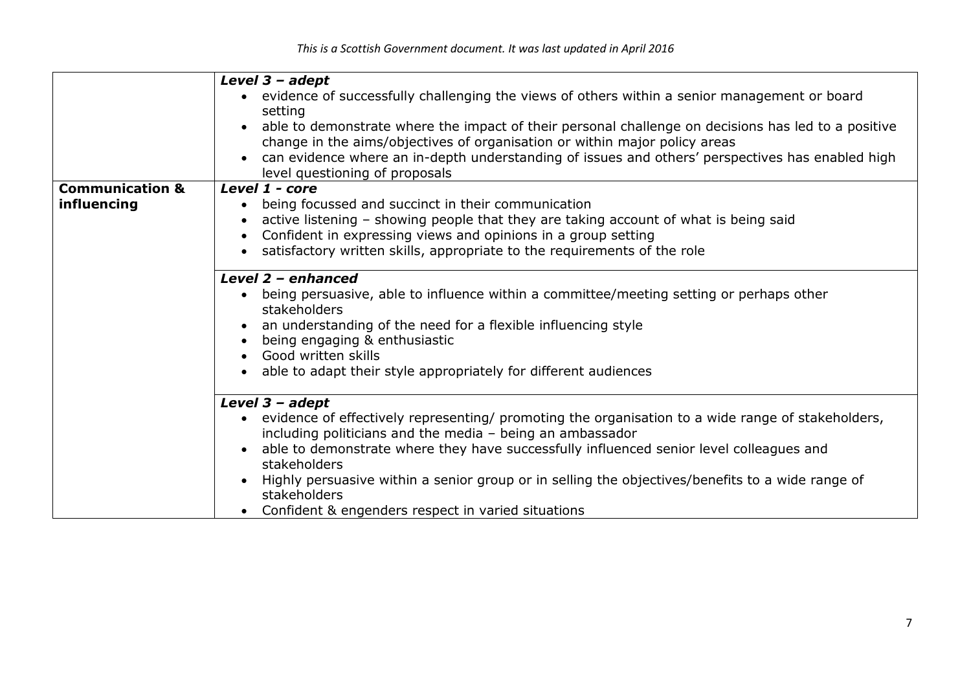|                            | Level $3 - adept$                                                                                                |  |  |
|----------------------------|------------------------------------------------------------------------------------------------------------------|--|--|
|                            | evidence of successfully challenging the views of others within a senior management or board<br>$\bullet$        |  |  |
|                            | setting                                                                                                          |  |  |
|                            | able to demonstrate where the impact of their personal challenge on decisions has led to a positive<br>$\bullet$ |  |  |
|                            | change in the aims/objectives of organisation or within major policy areas                                       |  |  |
|                            | can evidence where an in-depth understanding of issues and others' perspectives has enabled high                 |  |  |
|                            | level questioning of proposals                                                                                   |  |  |
| <b>Communication &amp;</b> | Level 1 - core                                                                                                   |  |  |
| influencing                | being focussed and succinct in their communication<br>٠                                                          |  |  |
|                            | active listening - showing people that they are taking account of what is being said                             |  |  |
|                            |                                                                                                                  |  |  |
|                            | Confident in expressing views and opinions in a group setting<br>$\bullet$                                       |  |  |
|                            | satisfactory written skills, appropriate to the requirements of the role<br>$\bullet$                            |  |  |
|                            | Level 2 - enhanced                                                                                               |  |  |
|                            | being persuasive, able to influence within a committee/meeting setting or perhaps other<br>$\bullet$             |  |  |
|                            | stakeholders                                                                                                     |  |  |
|                            | an understanding of the need for a flexible influencing style                                                    |  |  |
|                            | being engaging & enthusiastic                                                                                    |  |  |
|                            | Good written skills                                                                                              |  |  |
|                            | able to adapt their style appropriately for different audiences<br>$\bullet$                                     |  |  |
|                            |                                                                                                                  |  |  |
|                            | Level $3 - adept$                                                                                                |  |  |
|                            | evidence of effectively representing/ promoting the organisation to a wide range of stakeholders,<br>$\bullet$   |  |  |
|                            | including politicians and the media - being an ambassador                                                        |  |  |
|                            | able to demonstrate where they have successfully influenced senior level colleagues and<br>$\bullet$             |  |  |
|                            | stakeholders                                                                                                     |  |  |
|                            | Highly persuasive within a senior group or in selling the objectives/benefits to a wide range of                 |  |  |
|                            | stakeholders                                                                                                     |  |  |
|                            |                                                                                                                  |  |  |
|                            | Confident & engenders respect in varied situations<br>$\bullet$                                                  |  |  |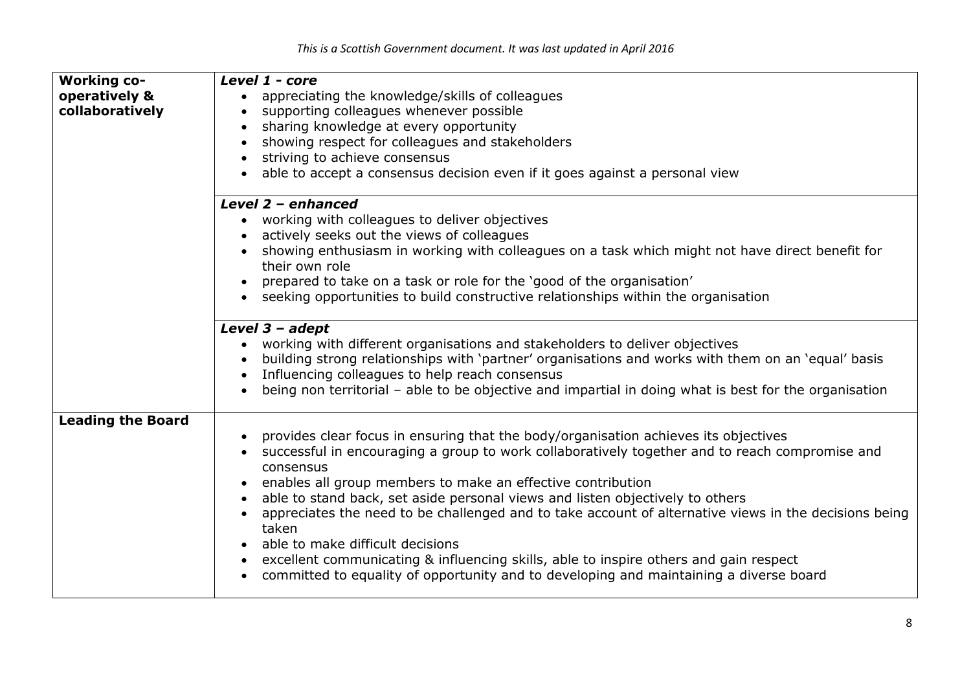| <b>Working co-</b><br>operatively &<br>collaboratively | Level 1 - core<br>appreciating the knowledge/skills of colleagues<br>$\bullet$<br>supporting colleagues whenever possible<br>$\bullet$<br>sharing knowledge at every opportunity<br>$\bullet$<br>showing respect for colleagues and stakeholders<br>striving to achieve consensus<br>$\bullet$<br>able to accept a consensus decision even if it goes against a personal view                                                                                                                                                                                                                                                                                                                                         |
|--------------------------------------------------------|-----------------------------------------------------------------------------------------------------------------------------------------------------------------------------------------------------------------------------------------------------------------------------------------------------------------------------------------------------------------------------------------------------------------------------------------------------------------------------------------------------------------------------------------------------------------------------------------------------------------------------------------------------------------------------------------------------------------------|
|                                                        | Level 2 - enhanced<br>working with colleagues to deliver objectives<br>$\bullet$<br>actively seeks out the views of colleagues<br>showing enthusiasm in working with colleagues on a task which might not have direct benefit for<br>their own role<br>prepared to take on a task or role for the 'good of the organisation'<br>seeking opportunities to build constructive relationships within the organisation<br>$\bullet$                                                                                                                                                                                                                                                                                        |
|                                                        | Level $3 - adept$<br>working with different organisations and stakeholders to deliver objectives<br>building strong relationships with 'partner' organisations and works with them on an 'equal' basis<br>Influencing colleagues to help reach consensus<br>$\bullet$<br>being non territorial – able to be objective and impartial in doing what is best for the organisation                                                                                                                                                                                                                                                                                                                                        |
| <b>Leading the Board</b>                               | provides clear focus in ensuring that the body/organisation achieves its objectives<br>successful in encouraging a group to work collaboratively together and to reach compromise and<br>consensus<br>enables all group members to make an effective contribution<br>able to stand back, set aside personal views and listen objectively to others<br>$\bullet$<br>appreciates the need to be challenged and to take account of alternative views in the decisions being<br>taken<br>able to make difficult decisions<br>excellent communicating & influencing skills, able to inspire others and gain respect<br>$\bullet$<br>committed to equality of opportunity and to developing and maintaining a diverse board |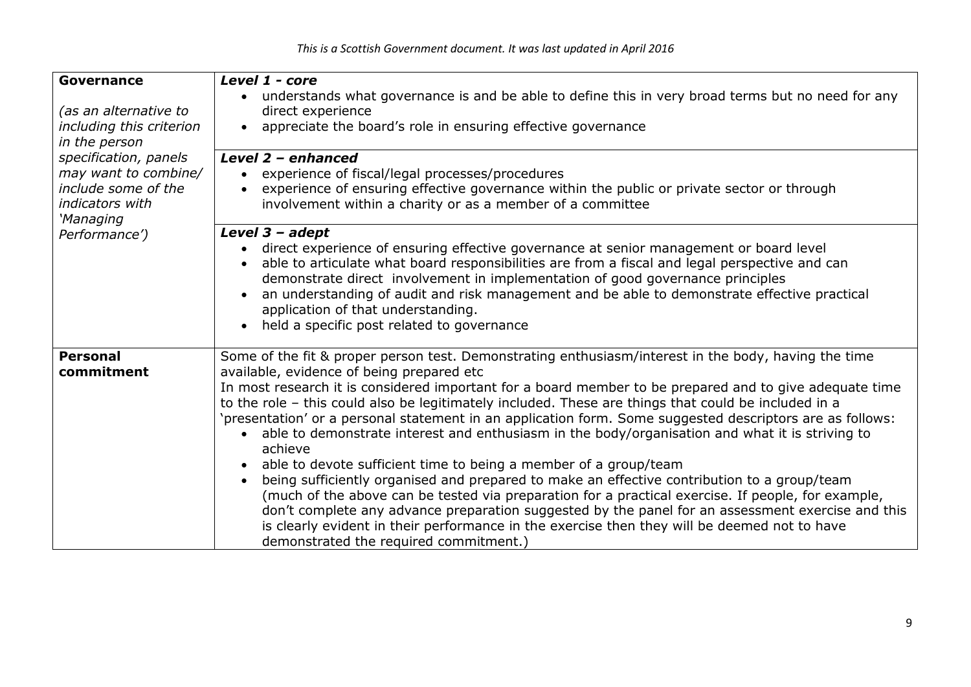| Governance<br>(as an alternative to<br>including this criterion<br>in the person<br>specification, panels<br>may want to combine/<br>include some of the<br>indicators with<br>'Managing<br>Performance') | Level 1 - core<br>understands what governance is and be able to define this in very broad terms but no need for any<br>$\bullet$<br>direct experience<br>appreciate the board's role in ensuring effective governance<br>$\bullet$<br>Level 2 - enhanced<br>experience of fiscal/legal processes/procedures<br>$\bullet$<br>experience of ensuring effective governance within the public or private sector or through<br>$\bullet$<br>involvement within a charity or as a member of a committee                                                                                                                                                                                                                                                                                                                                                                                                                                                                                                                                                                                                                                                              |
|-----------------------------------------------------------------------------------------------------------------------------------------------------------------------------------------------------------|----------------------------------------------------------------------------------------------------------------------------------------------------------------------------------------------------------------------------------------------------------------------------------------------------------------------------------------------------------------------------------------------------------------------------------------------------------------------------------------------------------------------------------------------------------------------------------------------------------------------------------------------------------------------------------------------------------------------------------------------------------------------------------------------------------------------------------------------------------------------------------------------------------------------------------------------------------------------------------------------------------------------------------------------------------------------------------------------------------------------------------------------------------------|
|                                                                                                                                                                                                           | Level $3 - ad$ ept<br>direct experience of ensuring effective governance at senior management or board level<br>$\bullet$<br>able to articulate what board responsibilities are from a fiscal and legal perspective and can<br>demonstrate direct involvement in implementation of good governance principles<br>an understanding of audit and risk management and be able to demonstrate effective practical<br>application of that understanding.<br>held a specific post related to governance<br>$\bullet$                                                                                                                                                                                                                                                                                                                                                                                                                                                                                                                                                                                                                                                 |
| <b>Personal</b><br>commitment                                                                                                                                                                             | Some of the fit & proper person test. Demonstrating enthusiasm/interest in the body, having the time<br>available, evidence of being prepared etc<br>In most research it is considered important for a board member to be prepared and to give adequate time<br>to the role - this could also be legitimately included. These are things that could be included in a<br>'presentation' or a personal statement in an application form. Some suggested descriptors are as follows:<br>able to demonstrate interest and enthusiasm in the body/organisation and what it is striving to<br>$\bullet$<br>achieve<br>able to devote sufficient time to being a member of a group/team<br>$\bullet$<br>being sufficiently organised and prepared to make an effective contribution to a group/team<br>$\bullet$<br>(much of the above can be tested via preparation for a practical exercise. If people, for example,<br>don't complete any advance preparation suggested by the panel for an assessment exercise and this<br>is clearly evident in their performance in the exercise then they will be deemed not to have<br>demonstrated the required commitment.) |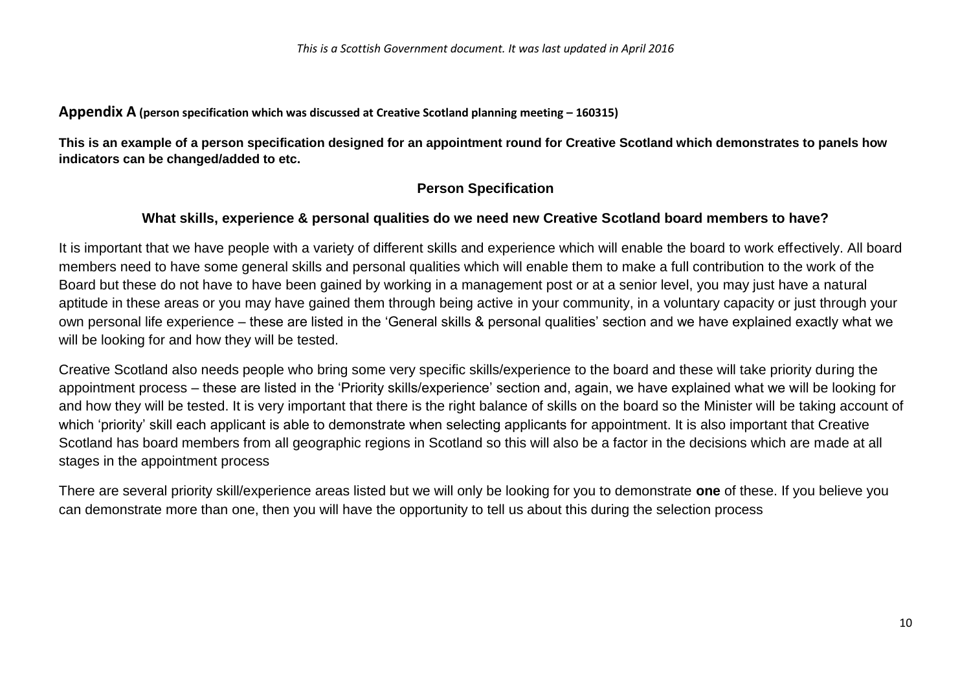**Appendix A** (person specification which was discussed at Creative Scotland planning meeting – 160315)

**This is an example of a person specification designed for an appointment round for Creative Scotland which demonstrates to panels how indicators can be changed/added to etc.** 

# **Person Specification**

## **What skills, experience & personal qualities do we need new Creative Scotland board members to have?**

It is important that we have people with a variety of different skills and experience which will enable the board to work effectively. All board members need to have some general skills and personal qualities which will enable them to make a full contribution to the work of the Board but these do not have to have been gained by working in a management post or at a senior level, you may just have a natural aptitude in these areas or you may have gained them through being active in your community, in a voluntary capacity or just through your own personal life experience – these are listed in the 'General skills & personal qualities' section and we have explained exactly what we will be looking for and how they will be tested.

Creative Scotland also needs people who bring some very specific skills/experience to the board and these will take priority during the appointment process – these are listed in the 'Priority skills/experience' section and, again, we have explained what we will be looking for and how they will be tested. It is very important that there is the right balance of skills on the board so the Minister will be taking account of which 'priority' skill each applicant is able to demonstrate when selecting applicants for appointment. It is also important that Creative Scotland has board members from all geographic regions in Scotland so this will also be a factor in the decisions which are made at all stages in the appointment process

There are several priority skill/experience areas listed but we will only be looking for you to demonstrate **one** of these. If you believe you can demonstrate more than one, then you will have the opportunity to tell us about this during the selection process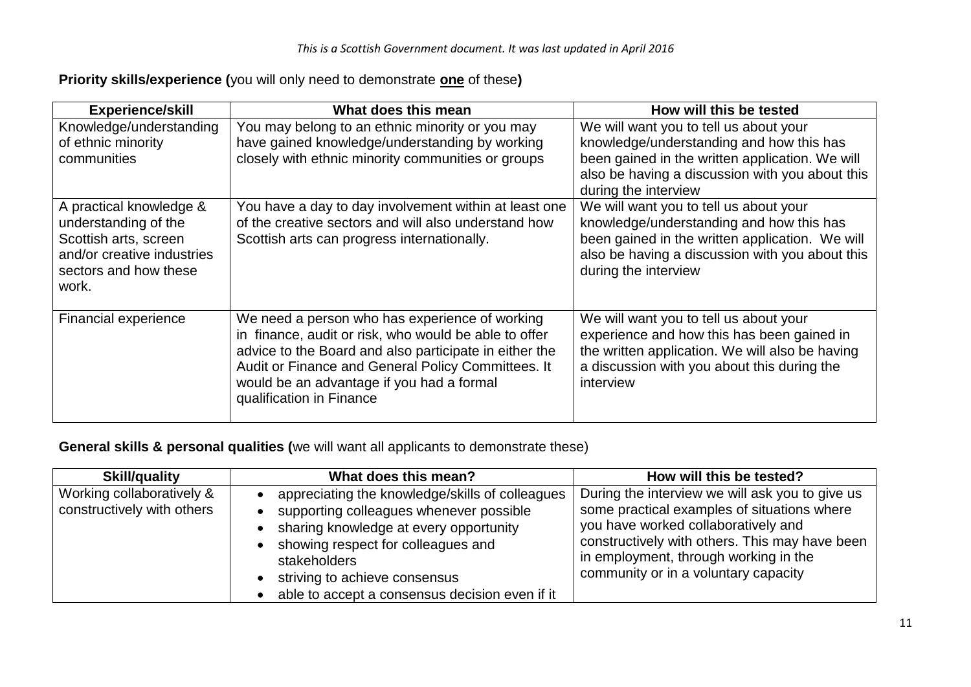# **Priority skills/experience (**you will only need to demonstrate **one** of these**)**

| <b>Experience/skill</b>                                                                                                                  | What does this mean                                                                                                                                                                                                                                                                              | How will this be tested                                                                                                                                                                                          |
|------------------------------------------------------------------------------------------------------------------------------------------|--------------------------------------------------------------------------------------------------------------------------------------------------------------------------------------------------------------------------------------------------------------------------------------------------|------------------------------------------------------------------------------------------------------------------------------------------------------------------------------------------------------------------|
| Knowledge/understanding<br>of ethnic minority<br>communities                                                                             | You may belong to an ethnic minority or you may<br>have gained knowledge/understanding by working<br>closely with ethnic minority communities or groups                                                                                                                                          | We will want you to tell us about your<br>knowledge/understanding and how this has<br>been gained in the written application. We will<br>also be having a discussion with you about this<br>during the interview |
| A practical knowledge &<br>understanding of the<br>Scottish arts, screen<br>and/or creative industries<br>sectors and how these<br>work. | You have a day to day involvement within at least one<br>of the creative sectors and will also understand how<br>Scottish arts can progress internationally.                                                                                                                                     | We will want you to tell us about your<br>knowledge/understanding and how this has<br>been gained in the written application. We will<br>also be having a discussion with you about this<br>during the interview |
| Financial experience                                                                                                                     | We need a person who has experience of working<br>in finance, audit or risk, who would be able to offer<br>advice to the Board and also participate in either the<br>Audit or Finance and General Policy Committees. It<br>would be an advantage if you had a formal<br>qualification in Finance | We will want you to tell us about your<br>experience and how this has been gained in<br>the written application. We will also be having<br>a discussion with you about this during the<br>interview              |

# **General skills & personal qualities (**we will want all applicants to demonstrate these)

| <b>Skill/quality</b>                                    | What does this mean?                                                                                                                                                                                                                                                          | How will this be tested?                                                                                                                                                                                                                                                 |
|---------------------------------------------------------|-------------------------------------------------------------------------------------------------------------------------------------------------------------------------------------------------------------------------------------------------------------------------------|--------------------------------------------------------------------------------------------------------------------------------------------------------------------------------------------------------------------------------------------------------------------------|
| Working collaboratively &<br>constructively with others | appreciating the knowledge/skills of colleagues<br>supporting colleagues whenever possible<br>sharing knowledge at every opportunity<br>showing respect for colleagues and<br>stakeholders<br>striving to achieve consensus<br>able to accept a consensus decision even if it | During the interview we will ask you to give us<br>some practical examples of situations where<br>you have worked collaboratively and<br>constructively with others. This may have been<br>in employment, through working in the<br>community or in a voluntary capacity |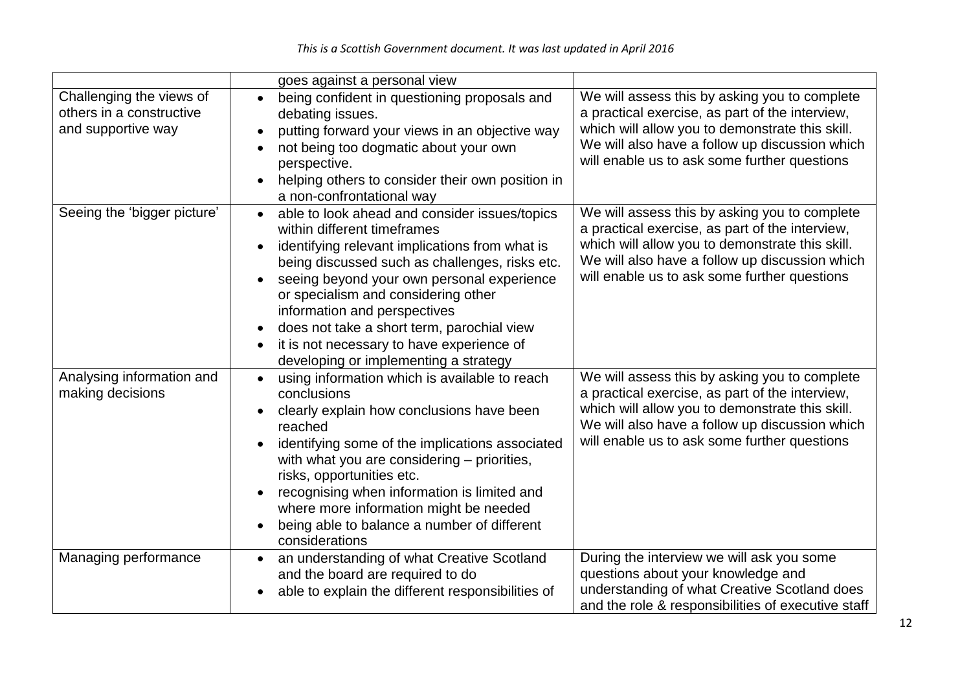|                                                                            | goes against a personal view                                                                                                                                                                                                                                                                                                                                                                                                                           |                                                                                                                                                                                                                                                       |
|----------------------------------------------------------------------------|--------------------------------------------------------------------------------------------------------------------------------------------------------------------------------------------------------------------------------------------------------------------------------------------------------------------------------------------------------------------------------------------------------------------------------------------------------|-------------------------------------------------------------------------------------------------------------------------------------------------------------------------------------------------------------------------------------------------------|
| Challenging the views of<br>others in a constructive<br>and supportive way | being confident in questioning proposals and<br>$\bullet$<br>debating issues.<br>putting forward your views in an objective way<br>not being too dogmatic about your own<br>perspective.<br>helping others to consider their own position in<br>a non-confrontational way                                                                                                                                                                              | We will assess this by asking you to complete<br>a practical exercise, as part of the interview,<br>which will allow you to demonstrate this skill.<br>We will also have a follow up discussion which<br>will enable us to ask some further questions |
| Seeing the 'bigger picture'                                                | able to look ahead and consider issues/topics<br>$\bullet$<br>within different timeframes<br>identifying relevant implications from what is<br>being discussed such as challenges, risks etc.<br>seeing beyond your own personal experience<br>or specialism and considering other<br>information and perspectives<br>does not take a short term, parochial view<br>it is not necessary to have experience of<br>developing or implementing a strategy | We will assess this by asking you to complete<br>a practical exercise, as part of the interview,<br>which will allow you to demonstrate this skill.<br>We will also have a follow up discussion which<br>will enable us to ask some further questions |
| Analysing information and<br>making decisions                              | using information which is available to reach<br>conclusions<br>clearly explain how conclusions have been<br>reached<br>identifying some of the implications associated<br>with what you are considering – priorities,<br>risks, opportunities etc.<br>recognising when information is limited and<br>where more information might be needed<br>being able to balance a number of different<br>considerations                                          | We will assess this by asking you to complete<br>a practical exercise, as part of the interview,<br>which will allow you to demonstrate this skill.<br>We will also have a follow up discussion which<br>will enable us to ask some further questions |
| Managing performance                                                       | an understanding of what Creative Scotland<br>$\bullet$<br>and the board are required to do<br>able to explain the different responsibilities of                                                                                                                                                                                                                                                                                                       | During the interview we will ask you some<br>questions about your knowledge and<br>understanding of what Creative Scotland does<br>and the role & responsibilities of executive staff                                                                 |